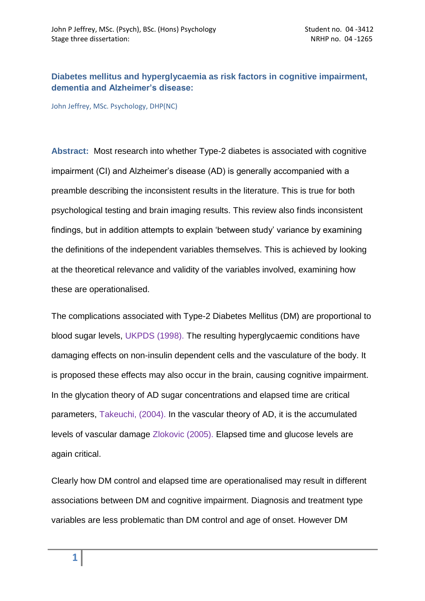# **Diabetes mellitus and hyperglycaemia as risk factors in cognitive impairment, dementia and Alzheimer's disease:**

John Jeffrey, MSc. Psychology, DHP(NC)

**Abstract:** Most research into whether Type-2 diabetes is associated with cognitive impairment (CI) and Alzheimer's disease (AD) is generally accompanied with a preamble describing the inconsistent results in the literature. This is true for both psychological testing and brain imaging results. This review also finds inconsistent findings, but in addition attempts to explain "between study" variance by examining the definitions of the independent variables themselves. This is achieved by looking at the theoretical relevance and validity of the variables involved, examining how these are operationalised.

The complications associated with Type-2 Diabetes Mellitus (DM) are proportional to blood sugar levels, UKPDS (1998). The resulting hyperglycaemic conditions have damaging effects on non-insulin dependent cells and the vasculature of the body. It is proposed these effects may also occur in the brain, causing cognitive impairment. In the glycation theory of AD sugar concentrations and elapsed time are critical parameters, Takeuchi, (2004). In the vascular theory of AD, it is the accumulated levels of vascular damage Zlokovic (2005). Elapsed time and glucose levels are again critical.

Clearly how DM control and elapsed time are operationalised may result in different associations between DM and cognitive impairment. Diagnosis and treatment type variables are less problematic than DM control and age of onset. However DM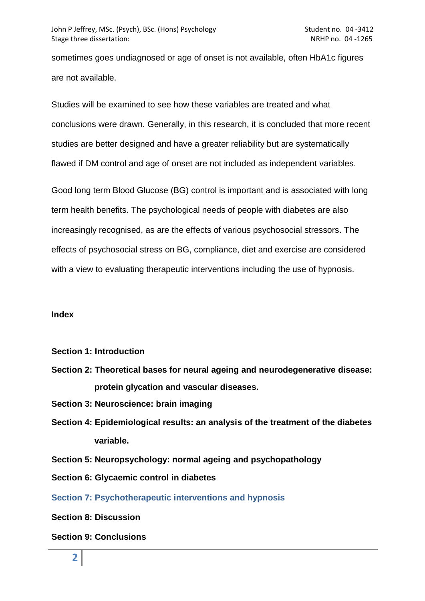sometimes goes undiagnosed or age of onset is not available, often HbA1c figures are not available.

Studies will be examined to see how these variables are treated and what conclusions were drawn. Generally, in this research, it is concluded that more recent studies are better designed and have a greater reliability but are systematically flawed if DM control and age of onset are not included as independent variables.

Good long term Blood Glucose (BG) control is important and is associated with long term health benefits. The psychological needs of people with diabetes are also increasingly recognised, as are the effects of various psychosocial stressors. The effects of psychosocial stress on BG, compliance, diet and exercise are considered with a view to evaluating therapeutic interventions including the use of hypnosis.

#### **Index**

- **Section 1: Introduction**
- **Section 2: Theoretical bases for neural ageing and neurodegenerative disease: protein glycation and vascular diseases.**
- **Section 3: Neuroscience: brain imaging**
- **Section 4: Epidemiological results: an analysis of the treatment of the diabetes variable.**
- **Section 5: Neuropsychology: normal ageing and psychopathology**
- **Section 6: Glycaemic control in diabetes**

**Section 7: Psychotherapeutic interventions and hypnosis**

**Section 8: Discussion** 

## **Section 9: Conclusions**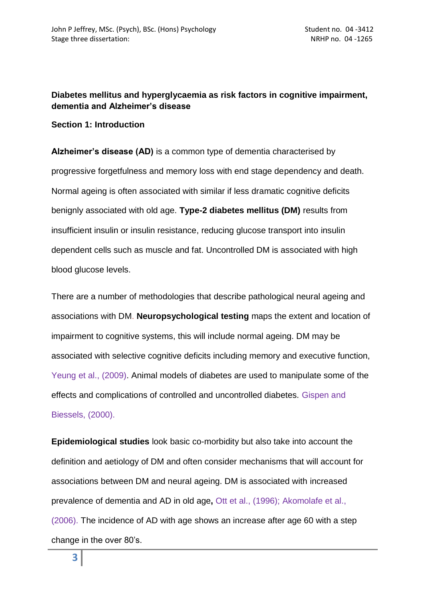# **Diabetes mellitus and hyperglycaemia as risk factors in cognitive impairment, dementia and Alzheimer's disease**

# **Section 1: Introduction**

**Alzheimer's disease (AD)** is a common type of dementia characterised by progressive forgetfulness and memory loss with end stage dependency and death. Normal ageing is often associated with similar if less dramatic cognitive deficits benignly associated with old age. **Type-2 diabetes mellitus (DM)** results from insufficient insulin or insulin resistance, reducing glucose transport into insulin dependent cells such as muscle and fat. Uncontrolled DM is associated with high blood glucose levels.

There are a number of methodologies that describe pathological neural ageing and associations with DM. **Neuropsychological testing** maps the extent and location of impairment to cognitive systems, this will include normal ageing. DM may be associated with selective cognitive deficits including memory and executive function, Yeung et al., (2009). Animal models of diabetes are used to manipulate some of the effects and complications of controlled and uncontrolled diabetes. Gispen and Biessels, (2000).

**Epidemiological studies** look basic co-morbidity but also take into account the definition and aetiology of DM and often consider mechanisms that will account for associations between DM and neural ageing. DM is associated with increased prevalence of dementia and AD in old age**,** Ott et al., (1996); Akomolafe et al., (2006). The incidence of AD with age shows an increase after age 60 with a step change in the over 80"s.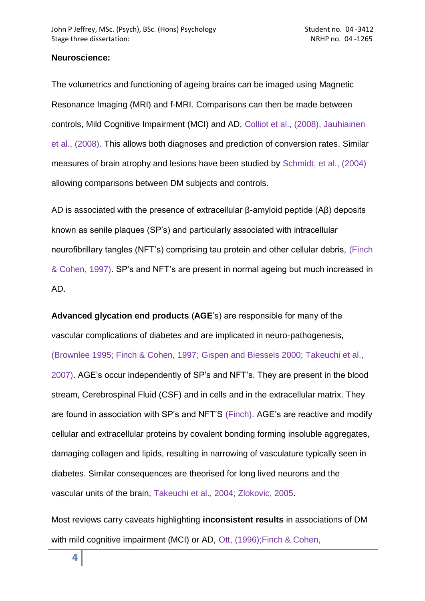## **Neuroscience:**

The volumetrics and functioning of ageing brains can be imaged using Magnetic Resonance Imaging (MRI) and f-MRI. Comparisons can then be made between controls, Mild Cognitive Impairment (MCI) and AD, Colliot et al., (2008), Jauhiainen et al., (2008). This allows both diagnoses and prediction of conversion rates. Similar measures of brain atrophy and lesions have been studied by Schmidt, et al., (2004) allowing comparisons between DM subjects and controls.

AD is associated with the presence of extracellular β-amyloid peptide (Aβ) deposits known as senile plaques (SP"s) and particularly associated with intracellular neurofibrillary tangles (NFT"s) comprising tau protein and other cellular debris, (Finch & Cohen, 1997). SP"s and NFT"s are present in normal ageing but much increased in AD.

**Advanced glycation end products** (**AGE**"s) are responsible for many of the vascular complications of diabetes and are implicated in neuro-pathogenesis, (Brownlee 1995; Finch & Cohen, 1997; Gispen and Biessels 2000; Takeuchi et al., 2007). AGE"s occur independently of SP"s and NFT"s. They are present in the blood stream, Cerebrospinal Fluid (CSF) and in cells and in the extracellular matrix. They are found in association with SP"s and NFT"S (Finch). AGE"s are reactive and modify cellular and extracellular proteins by covalent bonding forming insoluble aggregates, damaging collagen and lipids, resulting in narrowing of vasculature typically seen in diabetes. Similar consequences are theorised for long lived neurons and the vascular units of the brain, Takeuchi et al., 2004; Zlokovic, 2005.

Most reviews carry caveats highlighting **inconsistent results** in associations of DM with mild cognitive impairment (MCI) or AD, Ott, (1996);Finch & Cohen,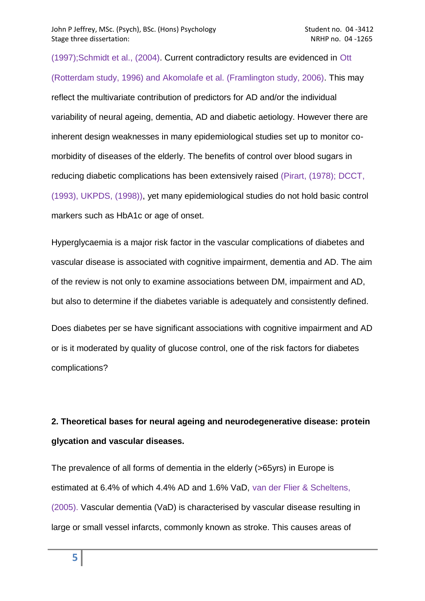(1997);Schmidt et al., (2004). Current contradictory results are evidenced in Ott (Rotterdam study, 1996) and Akomolafe et al. (Framlington study, 2006). This may reflect the multivariate contribution of predictors for AD and/or the individual variability of neural ageing, dementia, AD and diabetic aetiology. However there are inherent design weaknesses in many epidemiological studies set up to monitor comorbidity of diseases of the elderly. The benefits of control over blood sugars in reducing diabetic complications has been extensively raised (Pirart, (1978); DCCT, (1993), UKPDS, (1998)), yet many epidemiological studies do not hold basic control markers such as HbA1c or age of onset.

Hyperglycaemia is a major risk factor in the vascular complications of diabetes and vascular disease is associated with cognitive impairment, dementia and AD. The aim of the review is not only to examine associations between DM, impairment and AD, but also to determine if the diabetes variable is adequately and consistently defined.

Does diabetes per se have significant associations with cognitive impairment and AD or is it moderated by quality of glucose control, one of the risk factors for diabetes complications?

# **2. Theoretical bases for neural ageing and neurodegenerative disease: protein glycation and vascular diseases.**

The prevalence of all forms of dementia in the elderly (>65yrs) in Europe is estimated at 6.4% of which 4.4% AD and 1.6% VaD, van der Flier & Scheltens, (2005). Vascular dementia (VaD) is characterised by vascular disease resulting in large or small vessel infarcts, commonly known as stroke. This causes areas of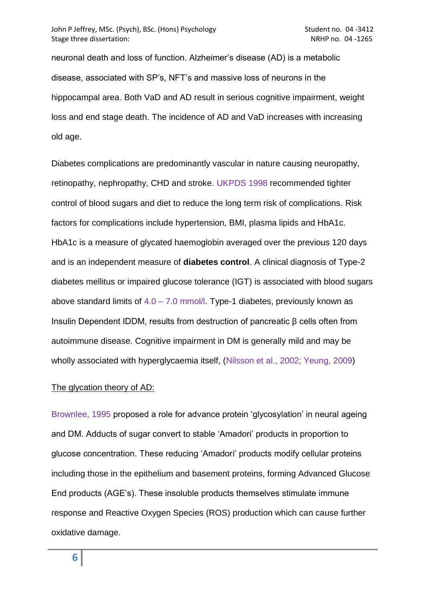neuronal death and loss of function. Alzheimer"s disease (AD) is a metabolic disease, associated with SP"s, NFT"s and massive loss of neurons in the hippocampal area. Both VaD and AD result in serious cognitive impairment, weight loss and end stage death. The incidence of AD and VaD increases with increasing old age.

Diabetes complications are predominantly vascular in nature causing neuropathy, retinopathy, nephropathy, CHD and stroke. UKPDS 1998 recommended tighter control of blood sugars and diet to reduce the long term risk of complications. Risk factors for complications include hypertension, BMI, plasma lipids and HbA1c. HbA1c is a measure of glycated haemoglobin averaged over the previous 120 days and is an independent measure of **diabetes control**. A clinical diagnosis of Type-2 diabetes mellitus or impaired glucose tolerance (IGT) is associated with blood sugars above standard limits of  $4.0 - 7.0$  mmol/l. Type-1 diabetes, previously known as Insulin Dependent IDDM, results from destruction of pancreatic β cells often from autoimmune disease. Cognitive impairment in DM is generally mild and may be wholly associated with hyperglycaemia itself, (Nilsson et al., 2002; Yeung, 2009)

## The glycation theory of AD:

Brownlee, 1995 proposed a role for advance protein "glycosylation" in neural ageing and DM. Adducts of sugar convert to stable "Amadori" products in proportion to glucose concentration. These reducing "Amadori" products modify cellular proteins including those in the epithelium and basement proteins, forming Advanced Glucose End products (AGE"s). These insoluble products themselves stimulate immune response and Reactive Oxygen Species (ROS) production which can cause further oxidative damage.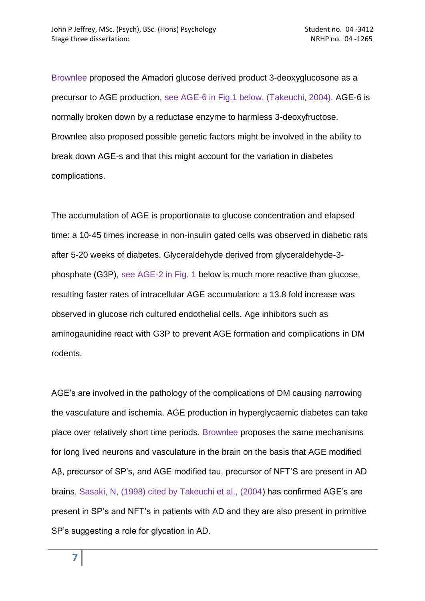Brownlee proposed the Amadori glucose derived product 3-deoxyglucosone as a precursor to AGE production, see AGE-6 in Fig.1 below, (Takeuchi, 2004). AGE-6 is normally broken down by a reductase enzyme to harmless 3-deoxyfructose. Brownlee also proposed possible genetic factors might be involved in the ability to break down AGE-s and that this might account for the variation in diabetes complications.

The accumulation of AGE is proportionate to glucose concentration and elapsed time: a 10-45 times increase in non-insulin gated cells was observed in diabetic rats after 5-20 weeks of diabetes. Glyceraldehyde derived from glyceraldehyde-3 phosphate (G3P), see AGE-2 in Fig. 1 below is much more reactive than glucose, resulting faster rates of intracellular AGE accumulation: a 13.8 fold increase was observed in glucose rich cultured endothelial cells. Age inhibitors such as aminogaunidine react with G3P to prevent AGE formation and complications in DM rodents.

AGE"s are involved in the pathology of the complications of DM causing narrowing the vasculature and ischemia. AGE production in hyperglycaemic diabetes can take place over relatively short time periods. Brownlee proposes the same mechanisms for long lived neurons and vasculature in the brain on the basis that AGE modified Aβ, precursor of SP"s, and AGE modified tau, precursor of NFT"S are present in AD brains. Sasaki, N, (1998) cited by Takeuchi et al., (2004) has confirmed AGE"s are present in SP"s and NFT"s in patients with AD and they are also present in primitive SP"s suggesting a role for glycation in AD.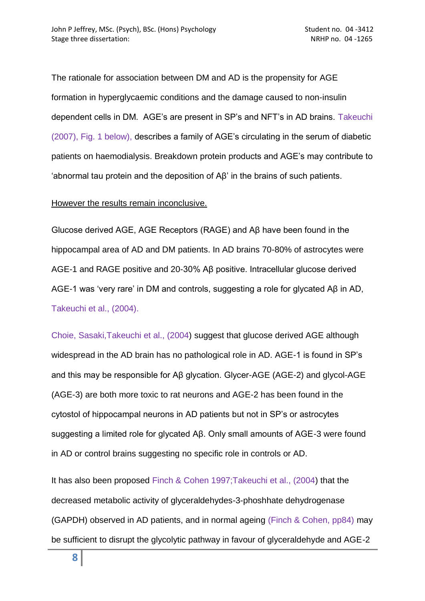The rationale for association between DM and AD is the propensity for AGE formation in hyperglycaemic conditions and the damage caused to non-insulin dependent cells in DM. AGE"s are present in SP"s and NFT"s in AD brains. Takeuchi (2007), Fig. 1 below), describes a family of AGE"s circulating in the serum of diabetic patients on haemodialysis. Breakdown protein products and AGE"s may contribute to "abnormal tau protein and the deposition of Aβ" in the brains of such patients.

However the results remain inconclusive.

Glucose derived AGE, AGE Receptors (RAGE) and Aβ have been found in the hippocampal area of AD and DM patients. In AD brains 70-80% of astrocytes were AGE-1 and RAGE positive and 20-30% Aβ positive. Intracellular glucose derived AGE-1 was 'very rare' in DM and controls, suggesting a role for glycated Aβ in AD, Takeuchi et al., (2004).

Choie, Sasaki,Takeuchi et al., (2004) suggest that glucose derived AGE although widespread in the AD brain has no pathological role in AD. AGE-1 is found in SP"s and this may be responsible for Aβ glycation. Glycer-AGE (AGE-2) and glycol-AGE (AGE-3) are both more toxic to rat neurons and AGE-2 has been found in the cytostol of hippocampal neurons in AD patients but not in SP"s or astrocytes suggesting a limited role for glycated Aβ. Only small amounts of AGE-3 were found in AD or control brains suggesting no specific role in controls or AD.

It has also been proposed Finch & Cohen 1997;Takeuchi et al., (2004) that the decreased metabolic activity of glyceraldehydes-3-phoshhate dehydrogenase (GAPDH) observed in AD patients, and in normal ageing (Finch & Cohen, pp84) may be sufficient to disrupt the glycolytic pathway in favour of glyceraldehyde and AGE-2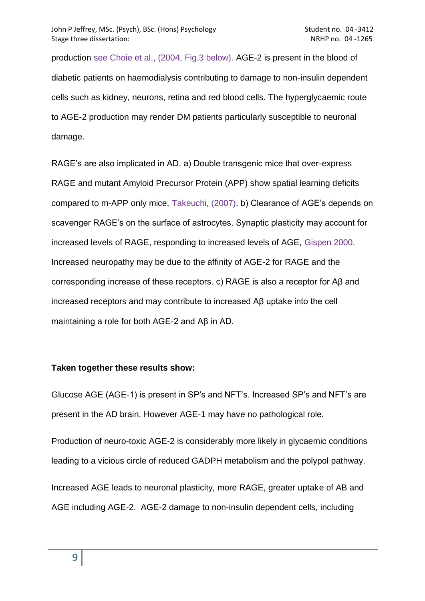production see Choie et al., (2004, Fig.3 below). AGE-2 is present in the blood of diabetic patients on haemodialysis contributing to damage to non-insulin dependent cells such as kidney, neurons, retina and red blood cells. The hyperglycaemic route to AGE-2 production may render DM patients particularly susceptible to neuronal damage.

RAGE's are also implicated in AD. a) Double transgenic mice that over-express RAGE and mutant Amyloid Precursor Protein (APP) show spatial learning deficits compared to m-APP only mice, Takeuchi, (2007). b) Clearance of AGE"s depends on scavenger RAGE"s on the surface of astrocytes. Synaptic plasticity may account for increased levels of RAGE, responding to increased levels of AGE, Gispen 2000. Increased neuropathy may be due to the affinity of AGE-2 for RAGE and the corresponding increase of these receptors. c) RAGE is also a receptor for Aβ and increased receptors and may contribute to increased Aβ uptake into the cell maintaining a role for both AGE-2 and Aβ in AD.

## **Taken together these results show:**

Glucose AGE (AGE-1) is present in SP"s and NFT"s. Increased SP"s and NFT"s are present in the AD brain. However AGE-1 may have no pathological role.

Production of neuro-toxic AGE-2 is considerably more likely in glycaemic conditions leading to a vicious circle of reduced GADPH metabolism and the polypol pathway.

Increased AGE leads to neuronal plasticity, more RAGE, greater uptake of AB and AGE including AGE-2. AGE-2 damage to non-insulin dependent cells, including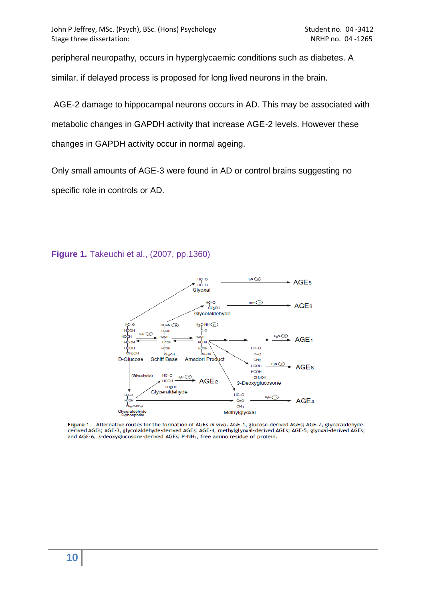peripheral neuropathy, occurs in hyperglycaemic conditions such as diabetes. A

similar, if delayed process is proposed for long lived neurons in the brain.

AGE-2 damage to hippocampal neurons occurs in AD. This may be associated with metabolic changes in GAPDH activity that increase AGE-2 levels. However these changes in GAPDH activity occur in normal ageing.

Only small amounts of AGE-3 were found in AD or control brains suggesting no specific role in controls or AD.

#### **Figure 1.** Takeuchi et al., (2007, pp.1360)



Alternative routes for the formation of AGEs in vivo. AGE-1, glucose-derived AGEs; AGE-2, glyceraldehyde-**Figure 1** derived AGEs; AGE-3, glycolaldehyde-derived AGEs; AGE-4, methylglyoxal-derived AGEs; AGE-5, glyoxal-derived AGEs; and AGE-6, 3-deoxyglucosone-derived AGEs. P-NH<sub>2</sub>, free amino residue of protein.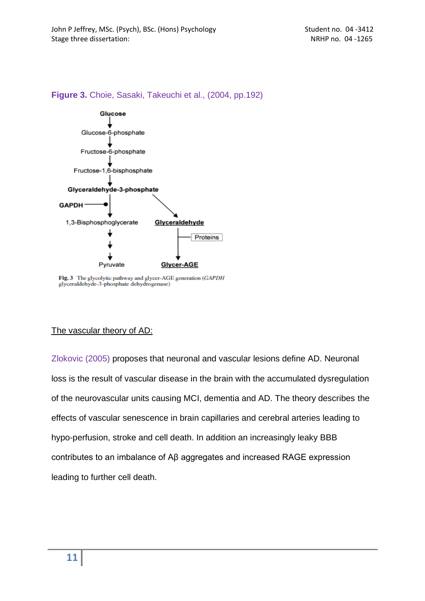#### **Figure 3.** Choie, Sasaki, Takeuchi et al., (2004, pp.192)



Fig. 3 The glycolytic pathway and glycer-AGE generation (GAPDH glyceraldehyde-3-phosphate dehydrogenase)

## The vascular theory of AD:

Zlokovic (2005) proposes that neuronal and vascular lesions define AD. Neuronal loss is the result of vascular disease in the brain with the accumulated dysregulation of the neurovascular units causing MCI, dementia and AD. The theory describes the effects of vascular senescence in brain capillaries and cerebral arteries leading to hypo-perfusion, stroke and cell death. In addition an increasingly leaky BBB contributes to an imbalance of Aβ aggregates and increased RAGE expression leading to further cell death.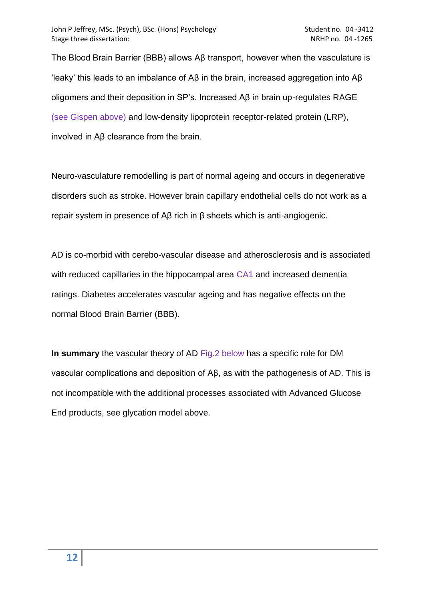The Blood Brain Barrier (BBB) allows Aβ transport, however when the vasculature is "leaky" this leads to an imbalance of Aβ in the brain, increased aggregation into Aβ oligomers and their deposition in SP"s. Increased Aβ in brain up-regulates RAGE (see Gispen above) and low-density lipoprotein receptor-related protein (LRP), involved in Aβ clearance from the brain.

Neuro-vasculature remodelling is part of normal ageing and occurs in degenerative disorders such as stroke. However brain capillary endothelial cells do not work as a repair system in presence of Aβ rich in β sheets which is anti-angiogenic.

AD is co-morbid with cerebo-vascular disease and atherosclerosis and is associated with reduced capillaries in the hippocampal area CA1 and increased dementia ratings. Diabetes accelerates vascular ageing and has negative effects on the normal Blood Brain Barrier (BBB).

**In summary** the vascular theory of AD Fig.2 below has a specific role for DM vascular complications and deposition of Aβ, as with the pathogenesis of AD. This is not incompatible with the additional processes associated with Advanced Glucose End products, see glycation model above.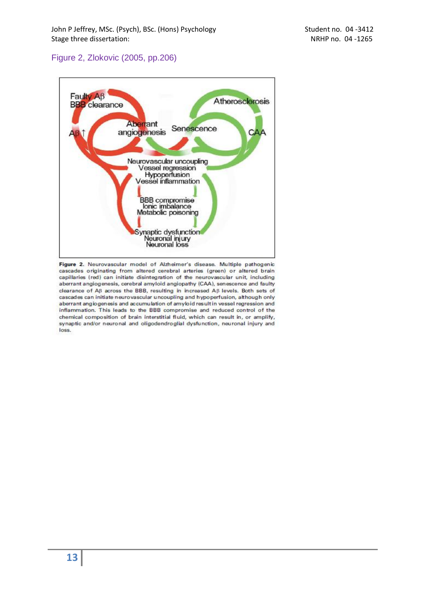# Figure 2, Zlokovic (2005, pp.206)



Figure 2. Neurovascular model of Alzheimer's disease. Multiple pathogenic cascades originating from altered cerebral arteries (green) or altered brain capillaries (red) can initiate disintegration of the neurovascular unit, including aberrant angiogenesis, cerebral amyloid angiopathy (CAA), senescence and faulty clearance of Aß across the BBB, resulting in increased Aß levels. Both sets of cascades can initiate neurovascular uncoupling and hypoperfusion, although only aberrant angiogenesis and accumulation of amyloid result in vessel regression and inflammation. This leads to the BBB compromise and reduced control of the chemical composition of brain interstitial fluid, which can result in, or amplify, synaptic and/or neuronal and oligodendroglial dysfunction, neuronal injury and loss.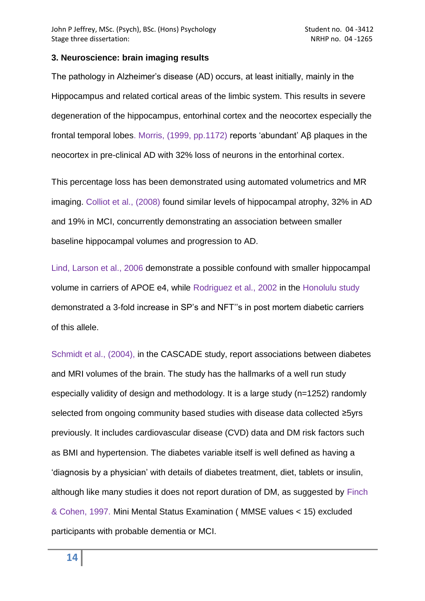#### **3. Neuroscience: brain imaging results**

The pathology in Alzheimer"s disease (AD) occurs, at least initially, mainly in the Hippocampus and related cortical areas of the limbic system. This results in severe degeneration of the hippocampus, entorhinal cortex and the neocortex especially the frontal temporal lobes. Morris, (1999, pp.1172) reports "abundant" Aβ plaques in the neocortex in pre-clinical AD with 32% loss of neurons in the entorhinal cortex.

This percentage loss has been demonstrated using automated volumetrics and MR imaging. Colliot et al., (2008) found similar levels of hippocampal atrophy, 32% in AD and 19% in MCI, concurrently demonstrating an association between smaller baseline hippocampal volumes and progression to AD.

Lind, Larson et al., 2006 demonstrate a possible confound with smaller hippocampal volume in carriers of APOE e4, while Rodriguez et al., 2002 in the Honolulu study demonstrated a 3-fold increase in SP"s and NFT""s in post mortem diabetic carriers of this allele.

Schmidt et al., (2004), in the CASCADE study, report associations between diabetes and MRI volumes of the brain. The study has the hallmarks of a well run study especially validity of design and methodology. It is a large study (n=1252) randomly selected from ongoing community based studies with disease data collected ≥5yrs previously. It includes cardiovascular disease (CVD) data and DM risk factors such as BMI and hypertension. The diabetes variable itself is well defined as having a "diagnosis by a physician" with details of diabetes treatment, diet, tablets or insulin, although like many studies it does not report duration of DM, as suggested by Finch & Cohen, 1997. Mini Mental Status Examination ( MMSE values < 15) excluded participants with probable dementia or MCI.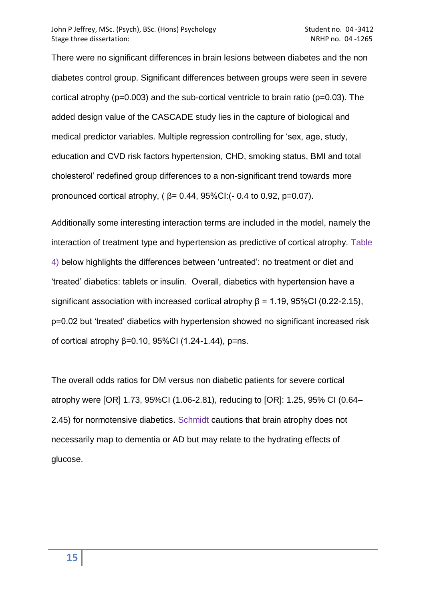There were no significant differences in brain lesions between diabetes and the non diabetes control group. Significant differences between groups were seen in severe cortical atrophy ( $p=0.003$ ) and the sub-cortical ventricle to brain ratio ( $p=0.03$ ). The added design value of the CASCADE study lies in the capture of biological and medical predictor variables. Multiple regression controlling for "sex, age, study, education and CVD risk factors hypertension, CHD, smoking status, BMI and total cholesterol" redefined group differences to a non-significant trend towards more pronounced cortical atrophy, ( β= 0.44, 95%CI:(- 0.4 to 0.92, p=0.07).

Additionally some interesting interaction terms are included in the model, namely the interaction of treatment type and hypertension as predictive of cortical atrophy. Table 4) below highlights the differences between "untreated": no treatment or diet and "treated" diabetics: tablets or insulin. Overall, diabetics with hypertension have a significant association with increased cortical atrophy  $\beta$  = 1.19, 95%CI (0.22-2.15), p=0.02 but "treated" diabetics with hypertension showed no significant increased risk of cortical atrophy  $β=0.10$ , 95%CI (1.24-1.44), p=ns.

The overall odds ratios for DM versus non diabetic patients for severe cortical atrophy were [OR] 1.73, 95%CI (1.06-2.81), reducing to [OR]: 1.25, 95% CI (0.64– 2.45) for normotensive diabetics. Schmidt cautions that brain atrophy does not necessarily map to dementia or AD but may relate to the hydrating effects of glucose.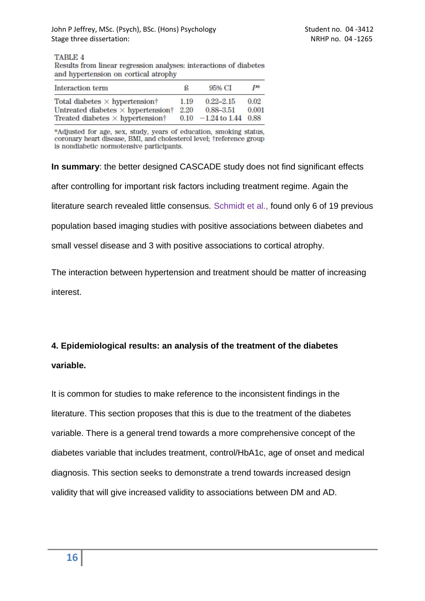**TABLE 4** 

Results from linear regression analyses: interactions of diabetes and hypertension on cortical atrophy

| Interaction term                                                                                                              | ß            | 95% CI                                                      | ₽¥            |
|-------------------------------------------------------------------------------------------------------------------------------|--------------|-------------------------------------------------------------|---------------|
| Total diabetes $\times$ hypertension†<br>Untreated diabetes $\times$ hypertension†<br>Treated diabetes $\times$ hypertension† | 1.19<br>2.20 | $0.22 - 2.15$<br>$0.88 - 3.51$<br>$0.10 -1.24$ to 1.44 0.88 | 0.02<br>0.001 |

\*Adjusted for age, sex, study, years of education, smoking status, coronary heart disease, BMI, and cholesterol level; †reference group is nondiabetic normotensive participants.

**In summary**: the better designed CASCADE study does not find significant effects after controlling for important risk factors including treatment regime. Again the literature search revealed little consensus. Schmidt et al., found only 6 of 19 previous population based imaging studies with positive associations between diabetes and small vessel disease and 3 with positive associations to cortical atrophy.

The interaction between hypertension and treatment should be matter of increasing interest.

# **4. Epidemiological results: an analysis of the treatment of the diabetes variable.**

It is common for studies to make reference to the inconsistent findings in the literature. This section proposes that this is due to the treatment of the diabetes variable. There is a general trend towards a more comprehensive concept of the diabetes variable that includes treatment, control/HbA1c, age of onset and medical diagnosis. This section seeks to demonstrate a trend towards increased design validity that will give increased validity to associations between DM and AD.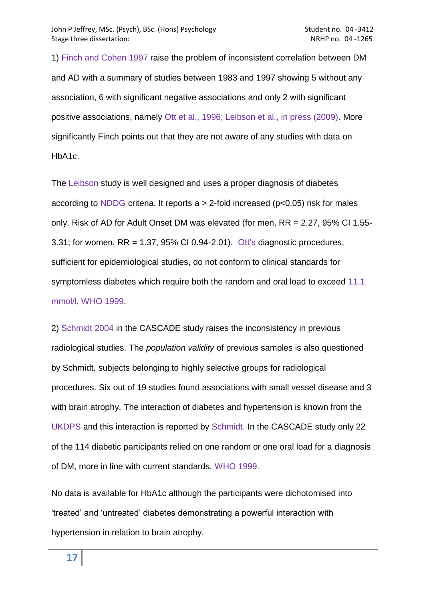1) Finch and Cohen 1997 raise the problem of inconsistent correlation between DM and AD with a summary of studies between 1983 and 1997 showing 5 without any association, 6 with significant negative associations and only 2 with significant positive associations, namely Ott et al., 1996; Leibson et al., in press (2009). More significantly Finch points out that they are not aware of any studies with data on HbA1c.

The Leibson study is well designed and uses a proper diagnosis of diabetes according to NDDG criteria. It reports  $a > 2$ -fold increased ( $p < 0.05$ ) risk for males only. Risk of AD for Adult Onset DM was elevated (for men, RR = 2.27, 95% CI 1.55- 3.31; for women, RR = 1.37, 95% CI 0.94-2.01). Ott"s diagnostic procedures, sufficient for epidemiological studies, do not conform to clinical standards for symptomless diabetes which require both the random and oral load to exceed 11.1 mmol/l, WHO 1999.

2) Schmidt 2004 in the CASCADE study raises the inconsistency in previous radiological studies. The *population validity* of previous samples is also questioned by Schmidt, subjects belonging to highly selective groups for radiological procedures. Six out of 19 studies found associations with small vessel disease and 3 with brain atrophy. The interaction of diabetes and hypertension is known from the UKDPS and this interaction is reported by Schmidt. In the CASCADE study only 22 of the 114 diabetic participants relied on one random or one oral load for a diagnosis of DM, more in line with current standards, WHO 1999.

No data is available for HbA1c although the participants were dichotomised into "treated" and "untreated" diabetes demonstrating a powerful interaction with hypertension in relation to brain atrophy.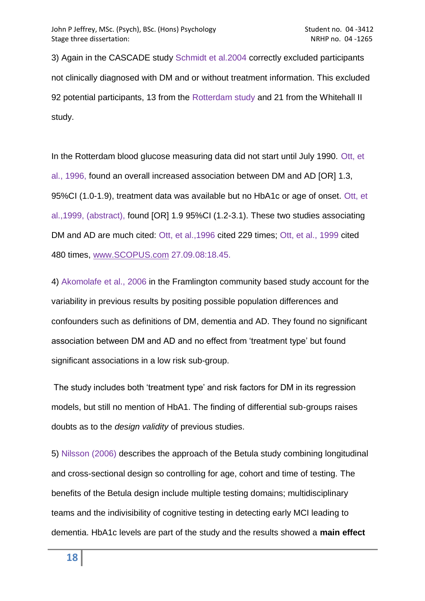3) Again in the CASCADE study Schmidt et al.2004 correctly excluded participants not clinically diagnosed with DM and or without treatment information. This excluded 92 potential participants, 13 from the Rotterdam study and 21 from the Whitehall II study.

In the Rotterdam blood glucose measuring data did not start until July 1990. Ott, et al., 1996, found an overall increased association between DM and AD [OR] 1.3, 95%CI (1.0-1.9), treatment data was available but no HbA1c or age of onset. Ott, et al.,1999, (abstract), found [OR] 1.9 95%CI (1.2-3.1). These two studies associating DM and AD are much cited: Ott, et al.,1996 cited 229 times; Ott, et al., 1999 cited 480 times, [www.SCOPUS.com](http://www.scopus.com/) 27.09.08:18.45.

4) Akomolafe et al., 2006 in the Framlington community based study account for the variability in previous results by positing possible population differences and confounders such as definitions of DM, dementia and AD. They found no significant association between DM and AD and no effect from "treatment type" but found significant associations in a low risk sub-group.

The study includes both "treatment type" and risk factors for DM in its regression models, but still no mention of HbA1. The finding of differential sub-groups raises doubts as to the *design validity* of previous studies.

5) Nilsson (2006) describes the approach of the Betula study combining longitudinal and cross-sectional design so controlling for age, cohort and time of testing. The benefits of the Betula design include multiple testing domains; multidisciplinary teams and the indivisibility of cognitive testing in detecting early MCI leading to dementia. HbA1c levels are part of the study and the results showed a **main effect**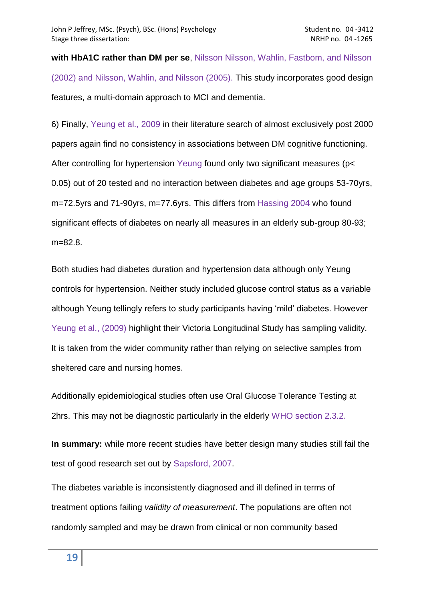**with HbA1C rather than DM per se**, Nilsson Nilsson, Wahlin, Fastbom, and Nilsson (2002) and Nilsson, Wahlin, and Nilsson (2005). This study incorporates good design features, a multi-domain approach to MCI and dementia.

6) Finally, Yeung et al., 2009 in their literature search of almost exclusively post 2000 papers again find no consistency in associations between DM cognitive functioning. After controlling for hypertension Yeung found only two significant measures (p< 0.05) out of 20 tested and no interaction between diabetes and age groups 53-70yrs, m=72.5yrs and 71-90yrs, m=77.6yrs. This differs from Hassing 2004 who found significant effects of diabetes on nearly all measures in an elderly sub-group 80-93; m=82.8.

Both studies had diabetes duration and hypertension data although only Yeung controls for hypertension. Neither study included glucose control status as a variable although Yeung tellingly refers to study participants having "mild" diabetes. However Yeung et al., (2009) highlight their Victoria Longitudinal Study has sampling validity. It is taken from the wider community rather than relying on selective samples from sheltered care and nursing homes.

Additionally epidemiological studies often use Oral Glucose Tolerance Testing at 2hrs. This may not be diagnostic particularly in the elderly WHO section 2.3.2.

**In summary:** while more recent studies have better design many studies still fail the test of good research set out by Sapsford, 2007.

The diabetes variable is inconsistently diagnosed and ill defined in terms of treatment options failing *validity of measurement*. The populations are often not randomly sampled and may be drawn from clinical or non community based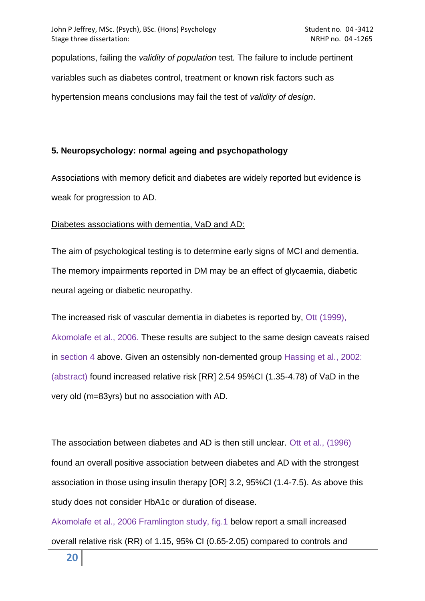populations, failing the *validity of population* test*.* The failure to include pertinent variables such as diabetes control, treatment or known risk factors such as hypertension means conclusions may fail the test of *validity of design*.

# **5. Neuropsychology: normal ageing and psychopathology**

Associations with memory deficit and diabetes are widely reported but evidence is weak for progression to AD.

# Diabetes associations with dementia, VaD and AD:

The aim of psychological testing is to determine early signs of MCI and dementia. The memory impairments reported in DM may be an effect of glycaemia, diabetic neural ageing or diabetic neuropathy.

The increased risk of vascular dementia in diabetes is reported by, Ott (1999), Akomolafe et al., 2006. These results are subject to the same design caveats raised in section 4 above. Given an ostensibly non-demented group Hassing et al., 2002: (abstract) found increased relative risk [RR] 2.54 95%CI (1.35-4.78) of VaD in the very old (m=83yrs) but no association with AD.

The association between diabetes and AD is then still unclear. Ott et al., (1996) found an overall positive association between diabetes and AD with the strongest association in those using insulin therapy [OR] 3.2, 95%CI (1.4-7.5). As above this study does not consider HbA1c or duration of disease.

Akomolafe et al., 2006 Framlington study, fig.1 below report a small increased overall relative risk (RR) of 1.15, 95% CI (0.65-2.05) compared to controls and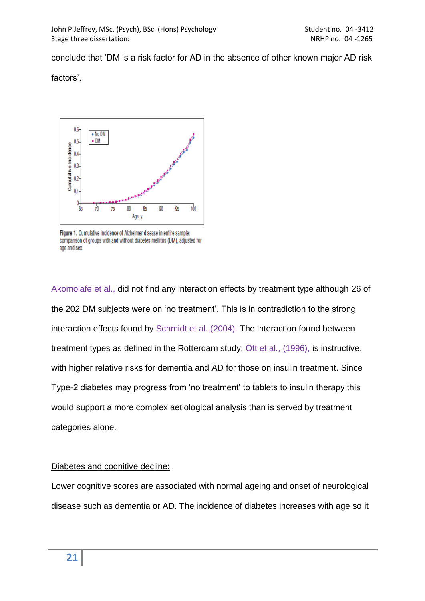conclude that "DM is a risk factor for AD in the absence of other known major AD risk

factors'.



Figure 1. Cumulative incidence of Alzheimer disease in entire sample: comparison of groups with and without diabetes mellitus (DM), adjusted for age and sex.

Akomolafe et al., did not find any interaction effects by treatment type although 26 of the 202 DM subjects were on "no treatment". This is in contradiction to the strong interaction effects found by Schmidt et al.,(2004). The interaction found between treatment types as defined in the Rotterdam study, Ott et al., (1996), is instructive, with higher relative risks for dementia and AD for those on insulin treatment. Since Type-2 diabetes may progress from "no treatment" to tablets to insulin therapy this would support a more complex aetiological analysis than is served by treatment categories alone.

## Diabetes and cognitive decline:

Lower cognitive scores are associated with normal ageing and onset of neurological disease such as dementia or AD. The incidence of diabetes increases with age so it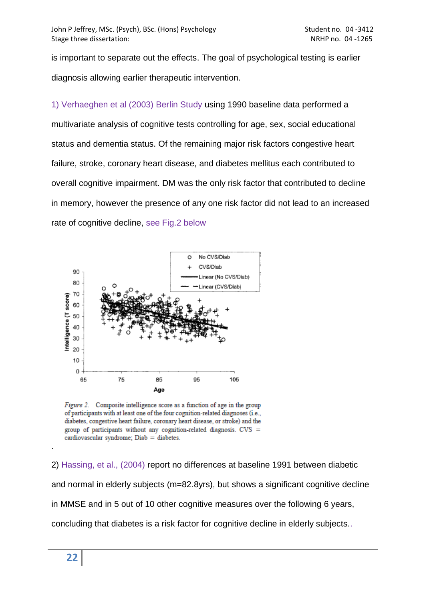is important to separate out the effects. The goal of psychological testing is earlier diagnosis allowing earlier therapeutic intervention.

1) Verhaeghen et al (2003) Berlin Study using 1990 baseline data performed a multivariate analysis of cognitive tests controlling for age, sex, social educational status and dementia status. Of the remaining major risk factors congestive heart failure, stroke, coronary heart disease, and diabetes mellitus each contributed to overall cognitive impairment. DM was the only risk factor that contributed to decline in memory, however the presence of any one risk factor did not lead to an increased rate of cognitive decline, see Fig.2 below



Figure 2. Composite intelligence score as a function of age in the group of participants with at least one of the four cognition-related diagnoses (i.e., diabetes, congestive heart failure, coronary heart disease, or stroke) and the group of participants without any cognition-related diagnosis. CVS = cardiovascular syndrome;  $D$ iab = diabetes.

2) Hassing, et al., (2004) report no differences at baseline 1991 between diabetic and normal in elderly subjects (m=82.8yrs), but shows a significant cognitive decline in MMSE and in 5 out of 10 other cognitive measures over the following 6 years, concluding that diabetes is a risk factor for cognitive decline in elderly subjects..

.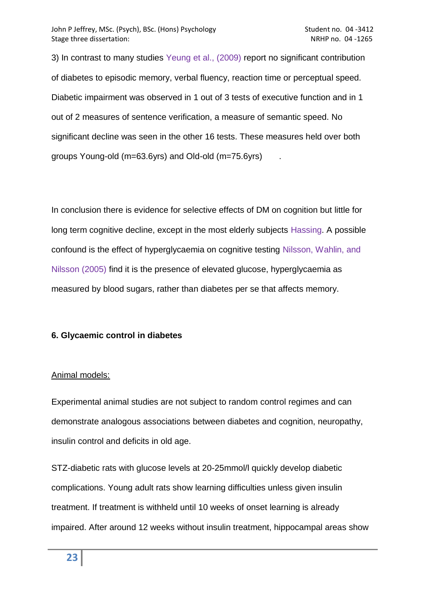3) In contrast to many studies Yeung et al., (2009) report no significant contribution of diabetes to episodic memory, verbal fluency, reaction time or perceptual speed. Diabetic impairment was observed in 1 out of 3 tests of executive function and in 1 out of 2 measures of sentence verification, a measure of semantic speed. No significant decline was seen in the other 16 tests. These measures held over both groups Young-old (m=63.6yrs) and Old-old (m=75.6yrs) .

In conclusion there is evidence for selective effects of DM on cognition but little for long term cognitive decline, except in the most elderly subjects Hassing. A possible confound is the effect of hyperglycaemia on cognitive testing Nilsson, Wahlin, and Nilsson (2005) find it is the presence of elevated glucose, hyperglycaemia as measured by blood sugars, rather than diabetes per se that affects memory.

# **6. Glycaemic control in diabetes**

# Animal models:

Experimental animal studies are not subject to random control regimes and can demonstrate analogous associations between diabetes and cognition, neuropathy, insulin control and deficits in old age.

STZ-diabetic rats with glucose levels at 20-25mmol/l quickly develop diabetic complications. Young adult rats show learning difficulties unless given insulin treatment. If treatment is withheld until 10 weeks of onset learning is already impaired. After around 12 weeks without insulin treatment, hippocampal areas show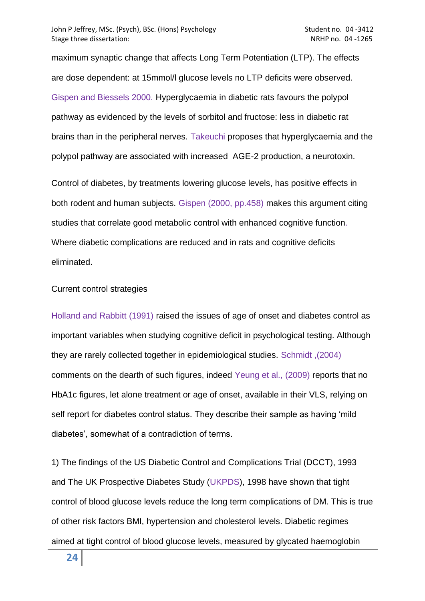maximum synaptic change that affects Long Term Potentiation (LTP). The effects are dose dependent: at 15mmol/l glucose levels no LTP deficits were observed. Gispen and Biessels 2000. Hyperglycaemia in diabetic rats favours the polypol pathway as evidenced by the levels of sorbitol and fructose: less in diabetic rat brains than in the peripheral nerves. Takeuchi proposes that hyperglycaemia and the polypol pathway are associated with increased AGE-2 production, a neurotoxin.

Control of diabetes, by treatments lowering glucose levels, has positive effects in both rodent and human subjects. Gispen (2000, pp.458) makes this argument citing studies that correlate good metabolic control with enhanced cognitive function. Where diabetic complications are reduced and in rats and cognitive deficits eliminated.

## Current control strategies

Holland and Rabbitt (1991) raised the issues of age of onset and diabetes control as important variables when studying cognitive deficit in psychological testing. Although they are rarely collected together in epidemiological studies. Schmidt ,(2004) comments on the dearth of such figures, indeed Yeung et al., (2009) reports that no HbA1c figures, let alone treatment or age of onset, available in their VLS, relying on self report for diabetes control status. They describe their sample as having "mild diabetes', somewhat of a contradiction of terms.

1) The findings of the US Diabetic Control and Complications Trial (DCCT), 1993 and The UK Prospective Diabetes Study (UKPDS), 1998 have shown that tight control of blood glucose levels reduce the long term complications of DM. This is true of other risk factors BMI, hypertension and cholesterol levels. Diabetic regimes aimed at tight control of blood glucose levels, measured by glycated haemoglobin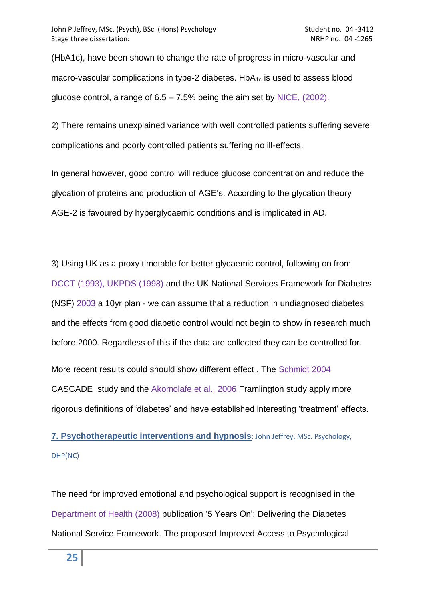(HbA1c), have been shown to change the rate of progress in micro-vascular and macro-vascular complications in type-2 diabetes.  $HbA_{1c}$  is used to assess blood glucose control, a range of  $6.5 - 7.5\%$  being the aim set by NICE, (2002).

2) There remains unexplained variance with well controlled patients suffering severe complications and poorly controlled patients suffering no ill-effects.

In general however, good control will reduce glucose concentration and reduce the glycation of proteins and production of AGE"s. According to the glycation theory AGE-2 is favoured by hyperglycaemic conditions and is implicated in AD.

3) Using UK as a proxy timetable for better glycaemic control, following on from DCCT (1993), UKPDS (1998) and the UK National Services Framework for Diabetes (NSF) 2003 a 10yr plan - we can assume that a reduction in undiagnosed diabetes and the effects from good diabetic control would not begin to show in research much before 2000. Regardless of this if the data are collected they can be controlled for.

More recent results could should show different effect . The Schmidt 2004 CASCADE study and the Akomolafe et al., 2006 Framlington study apply more rigorous definitions of "diabetes" and have established interesting "treatment" effects.

# <span id="page-24-0"></span>**[7. Psychotherapeutic interventions and hypnosis](#page-24-0)**: John Jeffrey, MSc. Psychology, DHP(NC)

The need for improved emotional and psychological support is recognised in the Department of Health (2008) publication "5 Years On": Delivering the Diabetes National Service Framework. The proposed Improved Access to Psychological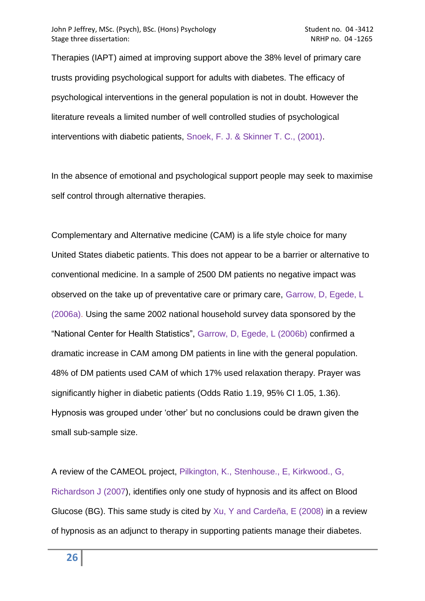Therapies (IAPT) aimed at improving support above the 38% level of primary care trusts providing psychological support for adults with diabetes. The efficacy of psychological interventions in the general population is not in doubt. However the literature reveals a limited number of well controlled studies of psychological interventions with diabetic patients, Snoek, F. J. & Skinner T. C., (2001).

In the absence of emotional and psychological support people may seek to maximise self control through alternative therapies.

Complementary and Alternative medicine (CAM) is a life style choice for many United States diabetic patients. This does not appear to be a barrier or alternative to conventional medicine. In a sample of 2500 DM patients no negative impact was observed on the take up of preventative care or primary care, Garrow, D, Egede, L (2006a). Using the same 2002 national household survey data sponsored by the "National Center for Health Statistics", Garrow, D, Egede, L (2006b) confirmed a dramatic increase in CAM among DM patients in line with the general population. 48% of DM patients used CAM of which 17% used relaxation therapy. Prayer was significantly higher in diabetic patients (Odds Ratio 1.19, 95% CI 1.05, 1.36). Hypnosis was grouped under "other" but no conclusions could be drawn given the small sub-sample size.

A review of the CAMEOL project, Pilkington, K., Stenhouse., E, Kirkwood., G, Richardson J (2007), identifies only one study of hypnosis and its affect on Blood Glucose (BG). This same study is cited by Xu, Y and Cardeña, E (2008) in a review of hypnosis as an adjunct to therapy in supporting patients manage their diabetes.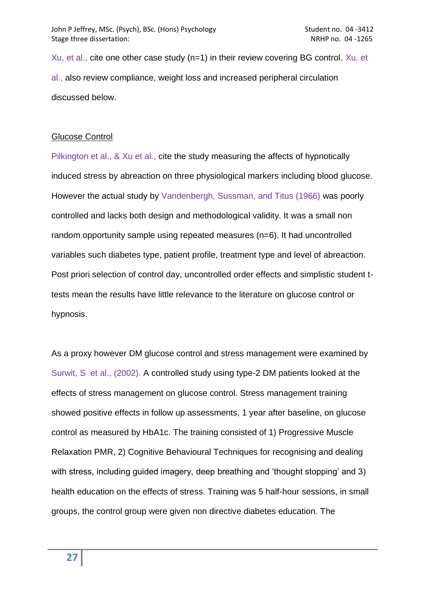Xu, et al., cite one other case study (n=1) in their review covering BG control. Xu, et al., also review compliance, weight loss and increased peripheral circulation discussed below.

#### Glucose Control

Pilkington et al., & Xu et al., cite the study measuring the affects of hypnotically induced stress by abreaction on three physiological markers including blood glucose. However the actual study by Vandenbergh, Sussman, and Titus (1966) was poorly controlled and lacks both design and methodological validity. It was a small non random opportunity sample using repeated measures (n=6). It had uncontrolled variables such diabetes type, patient profile, treatment type and level of abreaction. Post priori selection of control day, uncontrolled order effects and simplistic student ttests mean the results have little relevance to the literature on glucose control or hypnosis.

As a proxy however DM glucose control and stress management were examined by Surwit, S et al., (2002). A controlled study using type-2 DM patients looked at the effects of stress management on glucose control. Stress management training showed positive effects in follow up assessments, 1 year after baseline, on glucose control as measured by HbA1c. The training consisted of 1) Progressive Muscle Relaxation PMR, 2) Cognitive Behavioural Techniques for recognising and dealing with stress, including guided imagery, deep breathing and 'thought stopping' and 3) health education on the effects of stress. Training was 5 half-hour sessions, in small groups, the control group were given non directive diabetes education. The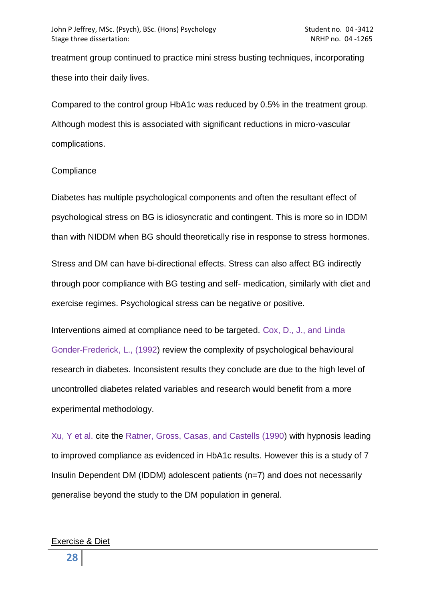treatment group continued to practice mini stress busting techniques, incorporating these into their daily lives.

Compared to the control group HbA1c was reduced by 0.5% in the treatment group. Although modest this is associated with significant reductions in micro-vascular complications.

#### **Compliance**

Diabetes has multiple psychological components and often the resultant effect of psychological stress on BG is idiosyncratic and contingent. This is more so in IDDM than with NIDDM when BG should theoretically rise in response to stress hormones.

Stress and DM can have bi-directional effects. Stress can also affect BG indirectly through poor compliance with BG testing and self- medication, similarly with diet and exercise regimes. Psychological stress can be negative or positive.

Interventions aimed at compliance need to be targeted. Cox, D., J., and Linda Gonder-Frederick, L., (1992) review the complexity of psychological behavioural research in diabetes. Inconsistent results they conclude are due to the high level of uncontrolled diabetes related variables and research would benefit from a more experimental methodology.

Xu, Y et al. cite the Ratner, Gross, Casas, and Castells (1990) with hypnosis leading to improved compliance as evidenced in HbA1c results. However this is a study of 7 Insulin Dependent DM (IDDM) adolescent patients (n=7) and does not necessarily generalise beyond the study to the DM population in general.

#### Exercise & Diet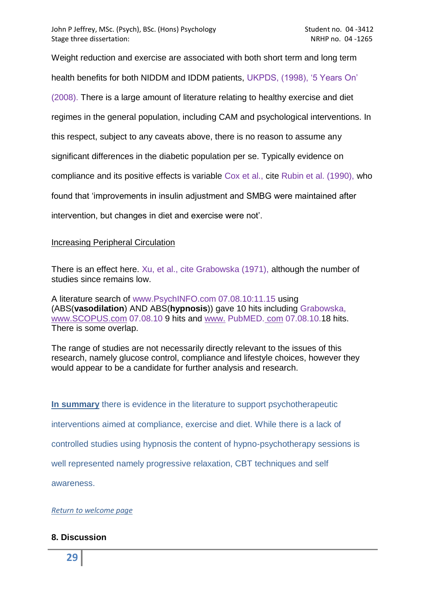Weight reduction and exercise are associated with both short term and long term health benefits for both NIDDM and IDDM patients, UKPDS, (1998), "5 Years On" (2008). There is a large amount of literature relating to healthy exercise and diet regimes in the general population, including CAM and psychological interventions. In this respect, subject to any caveats above, there is no reason to assume any significant differences in the diabetic population per se. Typically evidence on compliance and its positive effects is variable Cox et al., cite Rubin et al. (1990), who found that "improvements in insulin adjustment and SMBG were maintained after intervention, but changes in diet and exercise were not".

## Increasing Peripheral Circulation

There is an effect here. Xu, et al., cite Grabowska (1971), although the number of studies since remains low.

A literature search of www.PsychINFO.com 07.08.10:11.15 using (ABS(**vasodilation**) AND ABS(**hypnosis**)) gave 10 hits including Grabowska, [www.SCOPUS.com](http://www.scopus.com/) 07.08.10 9 hits and www. [PubMED.](http://www.com/) com 07.08.10.18 hits. There is some overlap.

The range of studies are not necessarily directly relevant to the issues of this research, namely glucose control, compliance and lifestyle choices, however they would appear to be a candidate for further analysis and research.

**In summary** there is evidence in the literature to support psychotherapeutic interventions aimed at compliance, exercise and diet. While there is a lack of controlled studies using hypnosis the content of hypno-psychotherapy sessions is well represented namely progressive relaxation, CBT techniques and self awareness.

*[Return to welcome page](diabetes_1.htm)*

# **8. Discussion**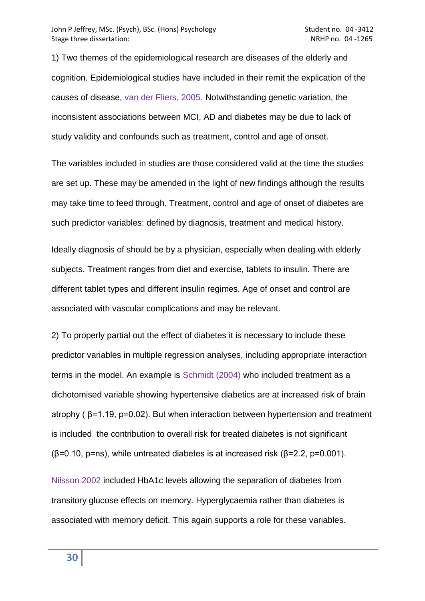1) Two themes of the epidemiological research are diseases of the elderly and cognition. Epidemiological studies have included in their remit the explication of the causes of disease, van der Fliers, 2005. Notwithstanding genetic variation, the inconsistent associations between MCI, AD and diabetes may be due to lack of study validity and confounds such as treatment, control and age of onset.

The variables included in studies are those considered valid at the time the studies are set up. These may be amended in the light of new findings although the results may take time to feed through. Treatment, control and age of onset of diabetes are such predictor variables: defined by diagnosis, treatment and medical history.

Ideally diagnosis of should be by a physician, especially when dealing with elderly subjects. Treatment ranges from diet and exercise, tablets to insulin. There are different tablet types and different insulin regimes. Age of onset and control are associated with vascular complications and may be relevant.

2) To properly partial out the effect of diabetes it is necessary to include these predictor variables in multiple regression analyses, including appropriate interaction terms in the model. An example is Schmidt (2004) who included treatment as a dichotomised variable showing hypertensive diabetics are at increased risk of brain atrophy ( $\beta$ =1.19, p=0.02). But when interaction between hypertension and treatment is included the contribution to overall risk for treated diabetes is not significant  $(\beta=0.10, p=ns)$ , while untreated diabetes is at increased risk ( $\beta=2.2, p=0.001$ ).

Nilsson 2002 included HbA1c levels allowing the separation of diabetes from transitory glucose effects on memory. Hyperglycaemia rather than diabetes is associated with memory deficit. This again supports a role for these variables.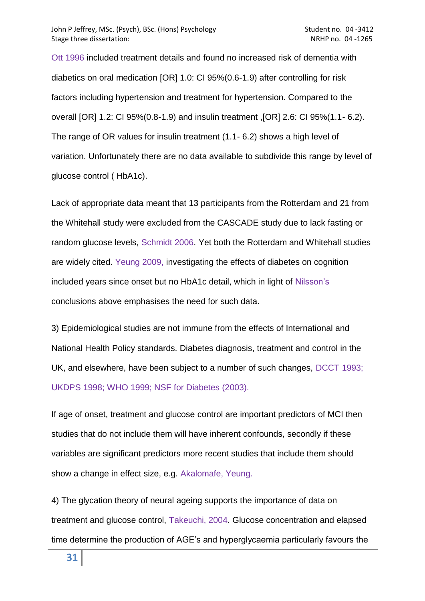Ott 1996 included treatment details and found no increased risk of dementia with diabetics on oral medication [OR] 1.0: CI 95%(0.6-1.9) after controlling for risk factors including hypertension and treatment for hypertension. Compared to the overall [OR] 1.2: CI 95%(0.8-1.9) and insulin treatment ,[OR] 2.6: CI 95%(1.1- 6.2). The range of OR values for insulin treatment (1.1- 6.2) shows a high level of variation. Unfortunately there are no data available to subdivide this range by level of glucose control ( HbA1c).

Lack of appropriate data meant that 13 participants from the Rotterdam and 21 from the Whitehall study were excluded from the CASCADE study due to lack fasting or random glucose levels, Schmidt 2006. Yet both the Rotterdam and Whitehall studies are widely cited. Yeung 2009, investigating the effects of diabetes on cognition included years since onset but no HbA1c detail, which in light of Nilsson's conclusions above emphasises the need for such data.

3) Epidemiological studies are not immune from the effects of International and National Health Policy standards. Diabetes diagnosis, treatment and control in the UK, and elsewhere, have been subject to a number of such changes, DCCT 1993; UKDPS 1998; WHO 1999; NSF for Diabetes (2003).

If age of onset, treatment and glucose control are important predictors of MCI then studies that do not include them will have inherent confounds, secondly if these variables are significant predictors more recent studies that include them should show a change in effect size, e.g. Akalomafe, Yeung.

4) The glycation theory of neural ageing supports the importance of data on treatment and glucose control, Takeuchi, 2004. Glucose concentration and elapsed time determine the production of AGE"s and hyperglycaemia particularly favours the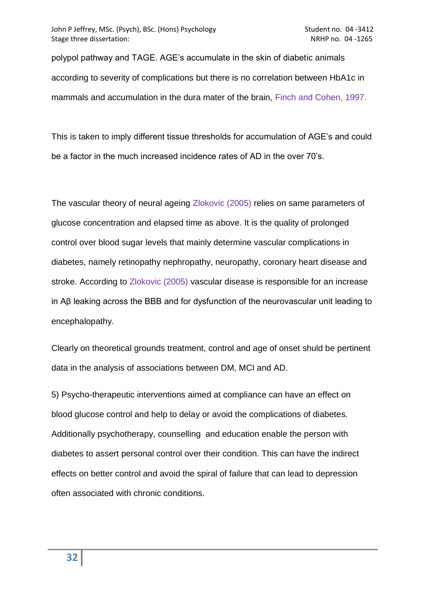polypol pathway and TAGE. AGE"s accumulate in the skin of diabetic animals according to severity of complications but there is no correlation between HbA1c in mammals and accumulation in the dura mater of the brain, Finch and Cohen, 1997.

This is taken to imply different tissue thresholds for accumulation of AGE"s and could be a factor in the much increased incidence rates of AD in the over 70"s.

The vascular theory of neural ageing Zlokovic (2005) relies on same parameters of glucose concentration and elapsed time as above. It is the quality of prolonged control over blood sugar levels that mainly determine vascular complications in diabetes, namely retinopathy nephropathy, neuropathy, coronary heart disease and stroke. According to Zlokovic (2005) vascular disease is responsible for an increase in Aβ leaking across the BBB and for dysfunction of the neurovascular unit leading to encephalopathy.

Clearly on theoretical grounds treatment, control and age of onset shuld be pertinent data in the analysis of associations between DM, MCI and AD.

5) Psycho-therapeutic interventions aimed at compliance can have an effect on blood glucose control and help to delay or avoid the complications of diabetes. Additionally psychotherapy, counselling and education enable the person with diabetes to assert personal control over their condition. This can have the indirect effects on better control and avoid the spiral of failure that can lead to depression often associated with chronic conditions.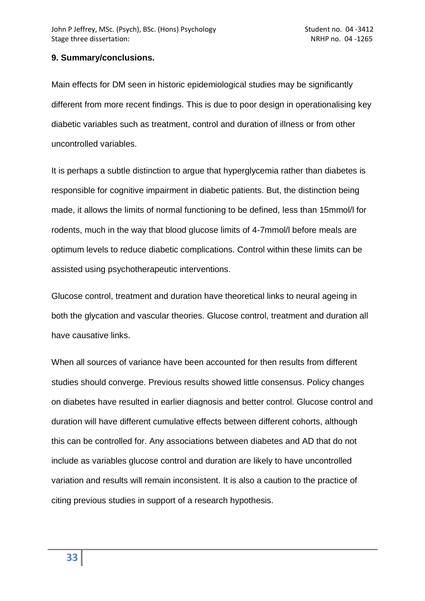# **9. Summary/conclusions.**

Main effects for DM seen in historic epidemiological studies may be significantly different from more recent findings. This is due to poor design in operationalising key diabetic variables such as treatment, control and duration of illness or from other uncontrolled variables.

It is perhaps a subtle distinction to argue that hyperglycemia rather than diabetes is responsible for cognitive impairment in diabetic patients. But, the distinction being made, it allows the limits of normal functioning to be defined, less than 15mmol/l for rodents, much in the way that blood glucose limits of 4-7mmol/l before meals are optimum levels to reduce diabetic complications. Control within these limits can be assisted using psychotherapeutic interventions.

Glucose control, treatment and duration have theoretical links to neural ageing in both the glycation and vascular theories. Glucose control, treatment and duration all have causative links.

When all sources of variance have been accounted for then results from different studies should converge. Previous results showed little consensus. Policy changes on diabetes have resulted in earlier diagnosis and better control. Glucose control and duration will have different cumulative effects between different cohorts, although this can be controlled for. Any associations between diabetes and AD that do not include as variables glucose control and duration are likely to have uncontrolled variation and results will remain inconsistent. It is also a caution to the practice of citing previous studies in support of a research hypothesis.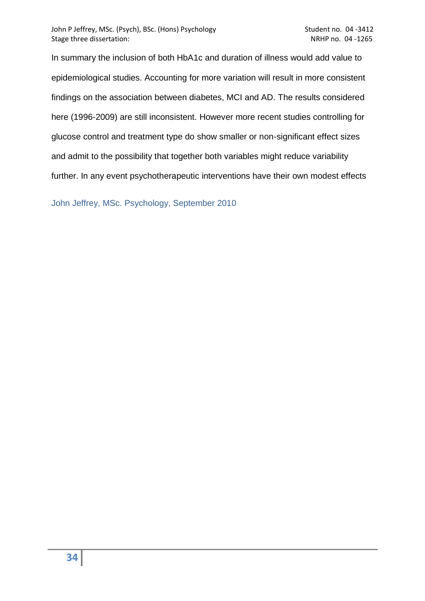In summary the inclusion of both HbA1c and duration of illness would add value to epidemiological studies. Accounting for more variation will result in more consistent findings on the association between diabetes, MCI and AD. The results considered here (1996-2009) are still inconsistent. However more recent studies controlling for glucose control and treatment type do show smaller or non-significant effect sizes and admit to the possibility that together both variables might reduce variability further. In any event psychotherapeutic interventions have their own modest effects

John Jeffrey, MSc. Psychology, September 2010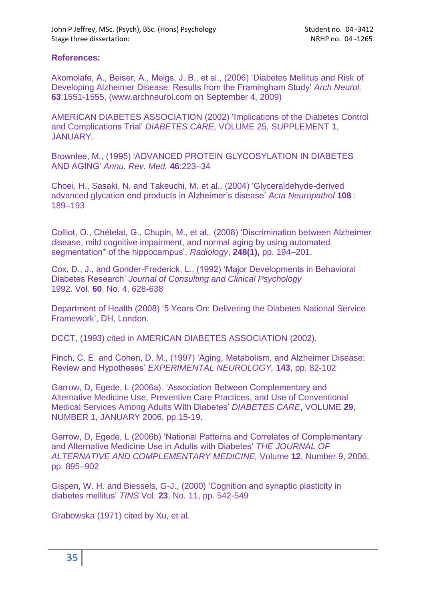# **References:**

Akomolafe, A., Beiser, A., Meigs, J. B., et al., (2006) "Diabetes Mellitus and Risk of Developing Alzheimer Disease: Results from the Framingham Study" *Arch Neurol.*  **63**:1551-1555, (www.archneurol.com on September 4, 2009)

AMERICAN DIABETES ASSOCIATION (2002) "Implications of the Diabetes Control and Complications Trial" *DIABETES CARE*, VOLUME 25, SUPPLEMENT 1, JANUARY.

Brownlee, M., (1995) "ADVANCED PROTEIN GLYCOSYLATION IN DIABETES AND AGING" *Annu. Rev. Med.* **46**:223–34

Choei, H., Sasaki, N. and Takeuchi, M. et al., (2004) "Glyceraldehyde-derived advanced glycation end products in Alzheimer"s disease" *Acta Neuropathol* **108** : 189–193

Colliot, O., Chételat, G., Chupin, M., et al., (2008) "Discrimination between Alzheimer disease, mild cognitive impairment, and normal aging by using automated segmentation\* of the hippocampus", *Radiology*, **248(1),** pp. 194–201.

Cox, D., J., and Gonder-Frederick, L., (1992) "Major Developments in Behavioral Diabetes Research" *Journal of Consulting and Clinical Psychology* 1992. Vol. **60**, No. 4, 628-638

Department of Health (2008) "5 Years On: Delivering the Diabetes National Service Framework", DH, London.

DCCT, (1993) cited in AMERICAN DIABETES ASSOCIATION (2002).

Finch, C. E. and Cohen, D. M., (1997) "Aging, Metabolism, and Alzheimer Disease: Review and Hypotheses" *EXPERIMENTAL NEUROLOGY,* **143**, pp. 82-102

Garrow, D, Egede, L (2006a). "Association Between Complementary and Alternative Medicine Use, Preventive Care Practices, and Use of Conventional Medical Services Among Adults With Diabetes" *DIABETES CARE*, VOLUME **29**, NUMBER 1, JANUARY 2006, pp.15-19.

Garrow, D, Egede, L (2006b) "National Patterns and Correlates of Complementary and Alternative Medicine Use in Adults with Diabetes" *THE JOURNAL OF ALTERNATIVE AND COMPLEMENTARY MEDICINE,* Volume **12**, Number 9, 2006, pp. 895–902

Gispen, W. H. and Biessels, G-J., (2000) "Cognition and synaptic plasticity in diabetes mellitus" *TINS* Vol. **23**, No. 11, pp. 542-549

Grabowska (1971) cited by Xu, et al.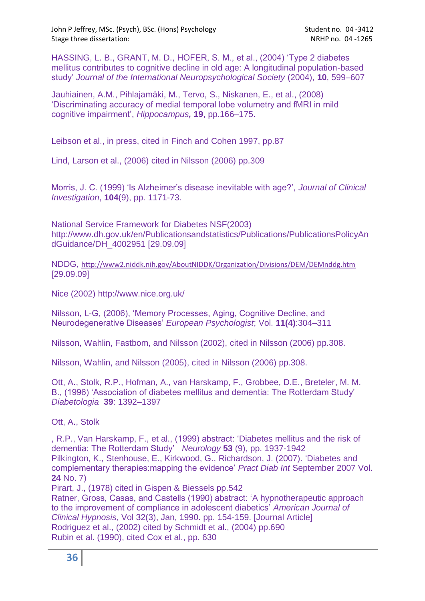John P Jeffrey, MSc. (Psych), BSc. (Hons) Psychology Student no. 04 -3412 Stage three dissertation: NRHP no. 04 -1265

HASSING, L. B., GRANT, M. D., HOFER, S. M., et al., (2004) "Type 2 diabetes mellitus contributes to cognitive decline in old age: A longitudinal population-based study" *Journal of the International Neuropsychological Society* (2004), **10**, 599–607

Jauhiainen, A.M., Pihlajamäki, M., Tervo, S., Niskanen, E., et al., (2008) "Discriminating accuracy of medial temporal lobe volumetry and fMRI in mild cognitive impairment", *Hippocampus,* **19**, pp.166–175.

Leibson et al., in press, cited in Finch and Cohen 1997, pp.87

Lind, Larson et al., (2006) cited in Nilsson (2006) pp.309

Morris, J. C. (1999) "Is Alzheimer"s disease inevitable with age?", *Journal of Clinical Investigation*, **104**(9), pp. 1171-73.

National Service Framework for Diabetes NSF(2003) [http://www.dh.gov.uk/en/Publicationsandstatistics/Publications/PublicationsPolicyAn](http://www.dh.gov.uk/en/Publicationsandstatistics/Publications/PublicationsPolicyAndGuidance/DH_4002951) [dGuidance/DH\\_4002951](http://www.dh.gov.uk/en/Publicationsandstatistics/Publications/PublicationsPolicyAndGuidance/DH_4002951) [29.09.09]

NDDG, <http://www2.niddk.nih.gov/AboutNIDDK/Organization/Divisions/DEM/DEMnddg.htm> [29.09.09]

Nice (2002)<http://www.nice.org.uk/>

Nilsson, L-G, (2006), "Memory Processes, Aging, Cognitive Decline, and Neurodegenerative Diseases" *European Psychologist*; Vol. **11(4)**:304–311

Nilsson, Wahlin, Fastbom, and Nilsson (2002), cited in Nilsson (2006) pp.308.

Nilsson, Wahlin, and Nilsson (2005), cited in Nilsson (2006) pp.308.

Ott, A., Stolk, R.P., Hofman, A., van Harskamp, F., Grobbee, D.E., Breteler, M. M. B., (1996) "Association of diabetes mellitus and dementia: The Rotterdam Study" *Diabetologia* **39**: 1392–1397

[Ott, A.,](http://www.scopus.com.libezproxy.open.ac.uk/search/submit/author.url?author=Ott%2c+A.&origin=resultslist&authorId=7102503201&src=s) [Stolk](http://www.scopus.com.libezproxy.open.ac.uk/search/submit/author.url?author=Stolk%2c+R.P.&origin=resultslist&authorId=7007162519&src=s)

, R.P., [Van Harskamp, F.,](http://www.scopus.com.libezproxy.open.ac.uk/search/submit/author.url?author=Stolk%2c+R.P.&origin=resultslist&authorId=7007162519&src=s) et al., [\(1999\) abstract: "Diabetes mellitus and the risk of](http://www.scopus.com.libezproxy.open.ac.uk/search/submit/author.url?author=Stolk%2c+R.P.&origin=resultslist&authorId=7007162519&src=s)  [dementia: The Rotterdam Study"](http://www.scopus.com.libezproxy.open.ac.uk/search/submit/author.url?author=Stolk%2c+R.P.&origin=resultslist&authorId=7007162519&src=s) *Neurology* **53** (9), pp. 1937-1942 [Pilkington, K., Stenhouse, E., Kirkwood, G.,](http://www.scopus.com.libezproxy.open.ac.uk/search/submit/author.url?author=Van+Harskamp%2c+F.&origin=resultslist&authorId=7003429474&src=s) Richardson, J. (2007). "Diabetes and [complementary therapies:mapping the evidence"](http://www.scopus.com.libezproxy.open.ac.uk/search/submit/author.url?author=Van+Harskamp%2c+F.&origin=resultslist&authorId=7003429474&src=s) *Pract Diab Int* September 2007 Vol. **24** [No. 7\)](http://www.scopus.com.libezproxy.open.ac.uk/search/submit/author.url?author=Van+Harskamp%2c+F.&origin=resultslist&authorId=7003429474&src=s)

[Pirart, J., \(1978\) cited in Gispen & Biessels pp.542](http://www.scopus.com.libezproxy.open.ac.uk/search/submit/author.url?author=Van+Harskamp%2c+F.&origin=resultslist&authorId=7003429474&src=s) 

[Ratner, Gross, Casas, and Castells \(1990\) abstract: "A hypnotherapeutic approach](http://www.scopus.com.libezproxy.open.ac.uk/search/submit/author.url?author=Van+Harskamp%2c+F.&origin=resultslist&authorId=7003429474&src=s)  [to the improvement of compliance in adolescent diabetics"](http://www.scopus.com.libezproxy.open.ac.uk/search/submit/author.url?author=Van+Harskamp%2c+F.&origin=resultslist&authorId=7003429474&src=s) *American Journal of Clinical Hypnosis*[, Vol 32\(3\), Jan, 1990. pp. 154-159.](http://www.scopus.com.libezproxy.open.ac.uk/search/submit/author.url?author=Van+Harskamp%2c+F.&origin=resultslist&authorId=7003429474&src=s) [Journal Article] [Rodriguez et al., \(2002\) cited by Schmidt et al., \(2004\) pp.690](http://www.scopus.com.libezproxy.open.ac.uk/search/submit/author.url?author=Van+Harskamp%2c+F.&origin=resultslist&authorId=7003429474&src=s) [Rubin et al. \(1990\), cited Cox et al., pp. 630](http://www.scopus.com.libezproxy.open.ac.uk/search/submit/author.url?author=Van+Harskamp%2c+F.&origin=resultslist&authorId=7003429474&src=s)